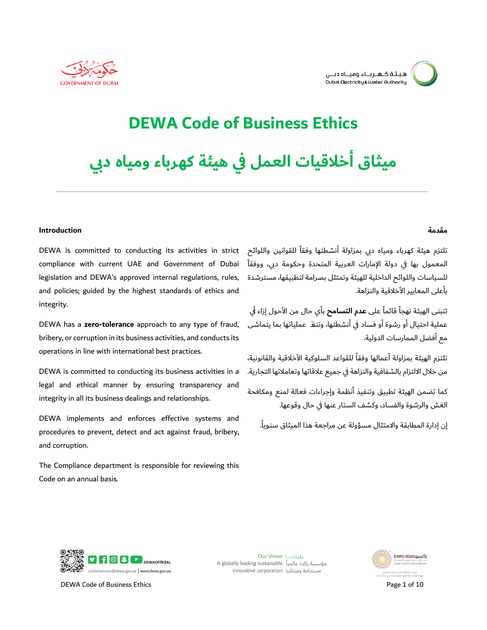

## **DEWA Code of Business Ethics**

# هيثاق أخلاقيات العمل فى هيئة كهرباء ومياه د<u>بي</u>

#### **Introduction**

تلتزم هيئة كهرباء ومياه دبي بمزاولة أنشطتها وفقاً للقوانين واللوائح DEWA is committed to conducting its activities in strict compliance with current UAE and Government of Dubai legislation and DEWA's approved internal regulations, rules, and policies; guided by the highest standards of ethics and integrity.

 bribery, or corruption in its business activities, and conducts its operations in line with international best practices. DEWA has a **zero-tolerance** approach to any type of fraud,

 legal and ethical manner by ensuring transparency and integrity in all its business dealings and relationships. DEWA is committed to conducting its business activities in a

DEWA implements and enforces effective systems and procedures to prevent, detect and act against fraud, bribery, and corruption.

The Compliance department is responsible for reviewing this Code on an annual basis.

#### **ةممقد**

المعمول بها في دولة الإمارات العربية المتحدة وحكومة دبي، ووفقاّ للسياسات واللوائح الداخلية للهيئة وتمتثل بصرامة لتطبيقها، مسترشدة باعلى المعايير الأخلاقية والنزاهة.

عملية احتيال او رشوة او فساد في انشطتها٬ وتنف ً عملياتها بما يتماشى مع افضل الممارسات الدولية. تتبنى الهيئة نهجاً قائماً على **عدم التسامح** بأي حال من الأحول إزاء <del>ل</del>َي

تلتزم الهيئة بمزاولة أعمالها وفقاً للقواعد السلوكية الأخلاقية والقانونية، من خلال الالتزام بالشفافية والنزاهة في جميع علاقاتها وتعاملاتها التجارية.

كما تضمن الهيئة تطبيق وتنفيذ انظمة وإجراءات فعالة لمنع ومكافحة غشلات تحتمل المسلمات المسلمات المسلمات المسلمات المسلمات .<br>الغش والرشوة والفساد، وكشف الستار عنها في حال وقوعها.

إن إدارة المطابقة والامتثال مسؤولة عن مراجعة هذا الميثاق سنوياً.



DEWA Code of Business Ethics **Page 1 of 10** 

Our Vision رؤيتنــا مؤسسة رائدة عالمياً A globally leading sustainable innovative corporation ومبتكرة

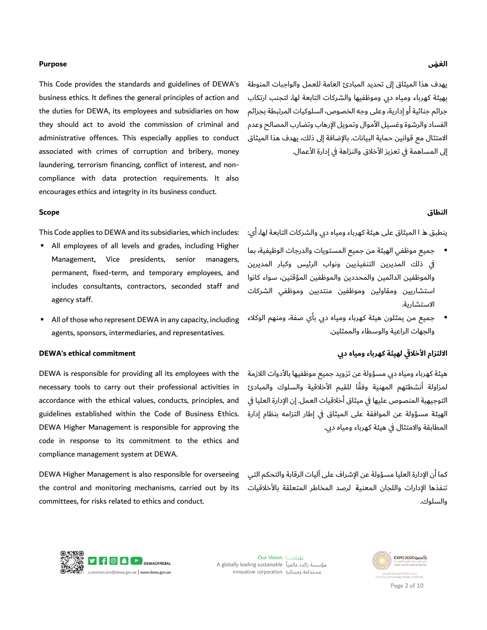#### الغ**ض**

يهدف هذا الميثاق إلى تحديد المبادئ العامة للعمل والواجبات المنوطة بهيئة كهرباء ومياه دبي وموظفيها والشركات التابعة لها٬ لتجنب ارتكاب جرائم جنائية او إدارية٬ وعلى وجه الخصوص٬ السلوكيات المرتبطة بجرائم الفساد والرشوة وغسيل الأموال وتمويل الإرهاب وتضارب المصالح وعدم الامتثال مع قوانين حماية البيانات. بالإضافة إلى ذلك، يهدف هذا الميثاق إلى المساهمة في تعزيز الأخلاق والنزاهة في إدارة الأعمال.

#### **ال قنطا**

ينطبق هـ ا الميثاق على هيئة كهرباء ومياه دبي والشركات التابعة لها٬ اي:

- جميع موظفي الهيئة من جميع المستويات والدرجات الوظيفية٬ بما في ذلك المديرين التنفيذيين ونواب الرئيس وكبار المديرين والموظفين الدائمين والمحددين والموظفين المؤقتين، سواء كانوا استشاريين ومقاولين وموظفين منتدبين وموظفي الشركات : الاستشارية.
- جميع من يمثلون هيئة كهرباء ومياه دبي باي صفة٬ ومنهم الوكلاء والجهات الراعية والوسطاء والممثلين. :

#### الالتزام الآخلاقي لهيئة كهرباء ومياه دبي

هيئة كهرباء ومياه دبي مسؤولة عن تزويد جميع موظفيها بالآدوات اللازمة لمزاولة أنشطتهم المهنية وفقًا للقيم الأخلاقية والسلوك والمبادئ التوجيهية المنصوص عليها في ميثاق اخلاقيات العمل. إن الإدارة العليا في الهيئة مسؤولة عن الموافقة على الميثاق في إطار التزامه بنظام إدارة المطابقة والامتثال في هيئة كهرباء ومياه دبي.

كما ان الإدارة العليا مسؤولة عن الإشراف على اليات الرقابة والتحكم التي تنفذها الإدارات واللجان المعنية لرصد المخاطر المتعلقة بالأخلاقيات والسلوك.



 This Code provides the standards and guidelines of DEWA's business ethics. It defines the general principles of action and administrative offences. This especially applies to conduct compliance with data protection requirements. It also encourages ethics and integrity in its business conduct. the duties for DEWA, its employees and subsidiaries on how they should act to avoid the commission of criminal and associated with crimes of corruption and bribery, money laundering, terrorism financing, conflict of interest, and non-

#### **Scope**

This Code applies to DEWA and its subsidiaries, which includes:

- All employees of all levels and grades, including Higher Management, Vice presidents, senior managers, permanent, fixed-term, and temporary employees, and includes consultants, contractors, seconded staff and agency staff.
- All of those who represent DEWA in any capacity, including agents, sponsors, intermediaries, and representatives.

#### **DEWA's ethical commitment**

 guidelines established within the Code of Business Ethics. compliance management system at DEWA. DEWA is responsible for providing all its employees with the necessary tools to carry out their professional activities in accordance with the ethical values, conducts, principles, and DEWA Higher Management is responsible for approving the code in response to its commitment to the ethics and

 DEWA Higher Management is also responsible for overseeing the control and monitoring mechanisms, carried out by its committees, for risks related to ethics and conduct.





Page 2 of 10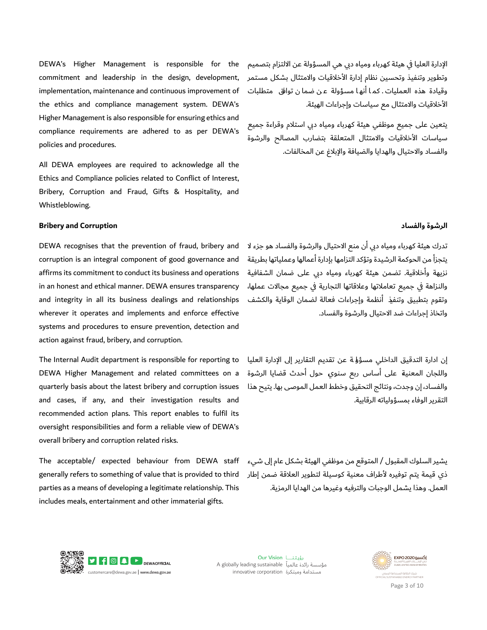الإدارة العليا في هيئة كهرباء ومياه دبي هي المسؤولة عن الالتزام بتصميم وتطوير وتنفيذ وتحسين نظام إدارة الآخلاقيات والامتثال بشكل مستمر الآخلاقيات والامتثال مع سياسات وإجراءات الهيئة . وقيادة هذه العمليات . كمـا أنهـا مسؤولة عـن ضما ن توافق متطلبات

يتعين على جميع موظفي هيئة كهرباء ومياه دبي استلام وقراءة جميع سياسات الأخلاقيات والامتثال المتعلقة بتضارب المصالح والرشوة والفساد والاحتيال والهدايا والضيافة والإبلاغ عن المخالفات.

**Bribery and Corruption** 

Whistleblowing.

policies and procedures.

 DEWA recognises that the prevention of fraud, bribery and corruption is an integral component of good governance and in an honest and ethical manner. DEWA ensures transparency systems and procedures to ensure prevention, detection and affirms its commitment to conduct its business and operations and integrity in all its business dealings and relationships wherever it operates and implements and enforce effective action against fraud, bribery, and corruption.

implementation, maintenance and continuous improvement of

the ethics and compliance management system. DEWA's Higher Management is also responsible for ensuring ethics and compliance requirements are adhered to as per DEWA's

DEWA's Higher Management is responsible for the commitment and leadership in the design, development,

 Ethics and Compliance policies related to Conflict of Interest, Bribery, Corruption and Fraud, Gifts & Hospitality, and

All DEWA employees are required to acknowledge all the

 and cases, if any, and their investigation results and oversight responsibilities and form a reliable view of DEWA's overall bribery and corruption related risks. The Internal Audit department is responsible for reporting to DEWA Higher Management and related committees on a quarterly basis about the latest bribery and corruption issues recommended action plans. This report enables to fulfil its

 generally refers to something of value that is provided to third includes meals, entertainment and other immaterial gifts. The acceptable/ expected behaviour from DEWA staff parties as a means of developing a legitimate relationship. This

#### **ةوشرلا دفسالاو**

تدرك هيئة كهرباء ومياه دبي ان منع الاحتيال والرشوة والفساد هو جزء لا يتجزا من الحوكمة الرشيدة وتؤكد التزامها بإدارة اعمالها وعملياتها بطريقة نزيهة واخلاقية. تضمن هيئة كهرباء ومياه دبي على ضمان الشفافية والنزاهة في جميع تعاملاتها وعلاقاتها التجارية في جميع مجالات عملها، وتقوم بتطبيق وتنفيذ انظمة وإجراءات فعالة لضمان الوقاية والكشف واتخاذ إجراءات ضد الاحتيال والرشوة والفساد.

إن ادارة التدقيق الداخلي مسؤولة عن تقديم التقارير إلى الإدارة العليا واللجان المعنية على اساس ربع سنوي حول احدث قضايا الرشوة والفساد٬ إن وجدت٬ ونتائج التحقيق وخطط العمل الموصى بها. يتيح هذا التقرير الوفاء بمسؤولياته الرقابية.

يشير السلوك المقبول / المتوقع من موظفي الهيئة بشكل عام إلى شيء ذي قيمة يتم توفيره لأطراف معنية كوسيلة لتطوير العلاقة ضمن إطار العمل. وهذا يشمل الوجبات والترفيه وغيرها من الهدايا الرمزية



Our Vision رؤيتنــا مؤسسة رائدة عالمياً A globally leading sustainable innovative corporation ومبتكرة



Page 3 of 10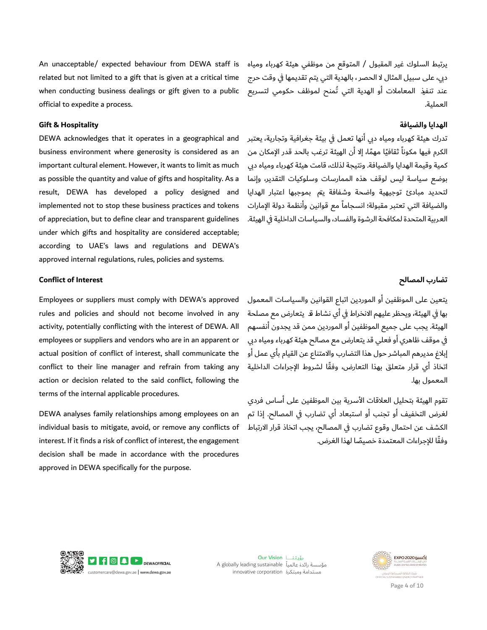An unacceptable/ expected behaviour from DEWA staff is related but not limited to a gift that is given at a critical time when conducting business dealings or gift given to a public official to expedite a process.

#### **Gift & Hospitality**

 important cultural element. However, it wants to limit as much as possible the quantity and value of gifts and hospitality. As a implemented not to stop these business practices and tokens of appreciation, but to define clear and transparent guidelines according to UAE's laws and regulations and DEWA's approved internal regulations, rules, policies and systems. DEWA acknowledges that it operates in a geographical and business environment where generosity is considered as an result, DEWA has developed a policy designed and under which gifts and hospitality are considered acceptable;

يرتبط السلوك غير المقبول / المتوقع من موظفي هيئة كهرباء ومياه دبي، على سبيل المثال لا الحصر ، بالهدية التي يتم تقديمها في وقت حرج عند تنفيذ المعاملات او الهدية التي تُمنح لموظف حكومي لتسريع العملية.

#### الهدايا والضيافة

تدرك هيئة كهرباء ومياه دبي انها تعمل في بيئة جغرافية وتجارية، يعتبر الكرم فيها مكوناً ثقافيًا مهمًا٬ إلا أن الهيئة ترغب بالحد قدر الإمكان من كمية وقيمة الهدايا والضيافة. ونتيجة لذلك، قامت هيئة كهرباء ومياه دبي بوضع سياسة ليس لوقف هذه الممارسات وسلوكيات التقدير٬ وإنما لتحديد مبادئ توجيهية واضحة وشفافة يتم بموجبها اعتبار الهدايا والضيافة التي تعتبر مقبولة؛ انسجاماً مع قوانين وأنظمة دولة الإمارات العربية المتحدة لمكافحة الرشوة والفساد٬ والسياسات الداخلية في الهيئة.

#### **Conflict of Interest**

 Employees or suppliers must comply with DEWA's approved employees or suppliers and vendors who are in an apparent or terms of the internal applicable procedures. rules and policies and should not become involved in any activity, potentially conflicting with the interest of DEWA. All actual position of conflict of interest, shall communicate the conflict to their line manager and refrain from taking any action or decision related to the said conflict, following the

 DEWA analyses family relationships among employees on an interest. If it finds a risk of conflict of interest, the engagement approved in DEWA specifically for the purpose. individual basis to mitigate, avoid, or remove any conflicts of decision shall be made in accordance with the procedures

#### تضارب المصالح

يتعين على الموظفين او الموردين اتباع القوانين والسياسات المعمول بها في الهيئة، ويحظر عليهم الانخراط في اي نشاط قـ يتعارض مع مصلحة الهيئة. يجب على جميع الموظفين او الموردين ممن قد يجدون انفسهم في موقف ظاهري او فعلي قد يتعارض مع مصالح هيئة كهرباء ومياه دبي إبلاغ مديرهم المباشر حول هذا التضارب والامتناع عن القيام باي عمل او اتخاذ أي قرار متعلق بهذا التعارض، وفقًا لشروط الإجراءات الداخلية المعمول بها.

تقوم الهيئة بتحليل العلاقات الآسرية بين الموظفين على اساس فردي لغرض التخفيف او تجنب او استبعاد اي تضارب في المصالح. إذا تم الكشف عن احتمال وقوع تضارب في المصالح، يجب اتخاذ قرار الارتباط وفقًا للإجراءات المعتمدة خصيصًا لهذا الغرض.



Our Vision رؤيتنــا مؤسسة رائدة عالمياً A globally leading sustainable innovative corporation وستدامة ومبتكرة



Page 4 of 10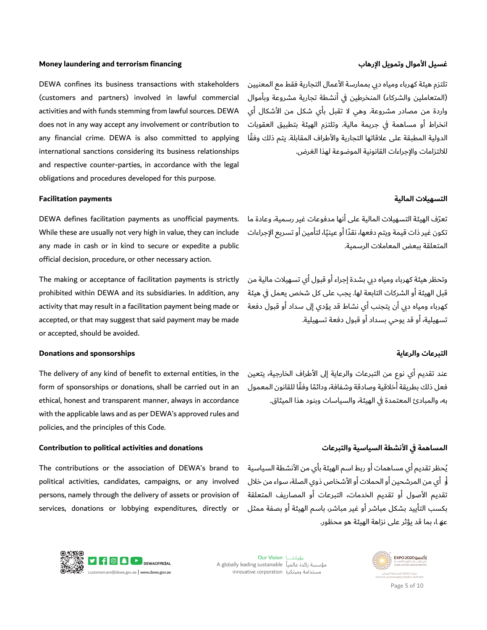#### **Money laundering and terrorism financing**

i. وتلتزم الهيئة بتطبيق العقوبات does not in any way accept any involvement or contribution to obligations and procedures developed for this purpose. DEWA confines its business transactions with stakeholders (customers and partners) involved in lawful commercial activities and with funds stemming from lawful sources. DEWA any financial crime. DEWA is also committed to applying international sanctions considering its business relationships and respective counter-parties, in accordance with the legal

#### **Facilitation payments**

 DEWA defines facilitation payments as unofficial payments. While these are usually not very high in value, they can include official decision, procedure, or other necessary action. any made in cash or in kind to secure or expedite a public

 accepted, or that may suggest that said payment may be made or accepted, should be avoided. The making or acceptance of facilitation payments is strictly prohibited within DEWA and its subsidiaries. In addition, any activity that may result in a facilitation payment being made or

#### **Donations and sponsorships**

 ethical, honest and transparent manner, always in accordance with the applicable laws and as per DEWA's approved rules and policies, and the principles of this Code. The delivery of any kind of benefit to external entities, in the form of sponsorships or donations, shall be carried out in an

#### **Contribution to political activities and donations**

 political activities, candidates, campaigns, or any involved persons, namely through the delivery of assets or provision of The contributions or the association of DEWA's brand to services, donations or lobbying expenditures, directly or

#### غسيل الآموال وتمويل الإرهاب

تلتزم هيئة كهرباء ومياه دبي بممارسة الأعمال التجارية فقط مع المعنيين (المتعاملين والشركاء) المنخرطين في انشطة تجارية مشروعة وباموال واردة من مصادر مشروعة. وهي لا تقبل باي شكل من الأشكال اي الدولية المطبقة على علاقاتها التجارية والأطراف المقابلة. يتم ذلك وفقًا للالتزامات والإجراءات القانونية الموضوعة لهذا الغرض. انخراط أو مساهمة في جريمة مالية. وتلتزم الهيئة بتطبيق العقوبات

#### **تلاسهيالت ةاليمال**

تعرّف الهيئة التسهيلات المالية على انها مدفوعات غير رسمية٬ وعادة ما تكون غير ذات قيمة ويتم دفعها، نقدًا او عينيًا، لتامين او تسريع الإجراءات المتعلقة ببعض المعاملات الرسمية.

وتحظر هيئة كهرباء ومياه دبي بشدة إجراء او قبول اي تسهيلات مالية من قبل الهيئة او الشركات التابعة لها. يجب على كل شخص يعمل في هيئة كهرباء ومياه دبي ان يتجنب اي نشاط قد يؤدي إلى سداد او قبول دفعة تسهيلية٬ او قد يوحي بسداد او قبول دفعة تسهيلية.

#### **تاعربالت ةياعرالو**

عند تقديم اي نوع من التبرعات والرعاية إلى الأطراف الخارجية٬ يتعين فعل ذلك بطريقة أخلاقية وصادقة وشفافة، ودائمًا وفقًا للقانون المعمول به، والمبادئ المعتمدة في الهيئة، والسياسات وبنود هذا الميثاق.

#### المساهمة في الآنشطة السياسية والتبرعات

يُحظر تقديم اي مساهمات او ربط اسم الهيئة باي من الأنشطة السياسية او ًاي من المرشحين او الحملات او الأشخاص ذوي الصلة٬ سواء من خلال تقديم الأصول او تقديم الخدمات٬ التبرعات او المصاريف المتعلقة بكسب التاييد بشكل مباشر او غير مباشر٬ باسم الهيئة او بصفة ممثل عه ا، بما قد يؤثر على نزاهة الهيئة هو محظور.



Our Vision رؤيتنــا A globally leading sustainable أمؤسسة رائدة عالمياً innovative corporation ومبتكرة



Page 5 of 10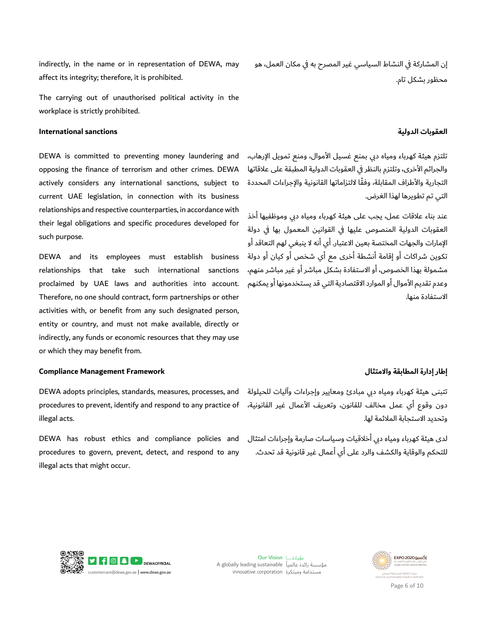affect its integrity; therefore, it is prohibited. indirectly, in the name or in representation of DEWA, may

 workplace is strictly prohibited. The carrying out of unauthorised political activity in the

#### **International sanctions**

 opposing the finance of terrorism and other crimes. DEWA actively considers any international sanctions, subject to DEWA is committed to preventing money laundering and current UAE legislation, in connection with its business relationships and respective counterparties, in accordance with their legal obligations and specific procedures developed for such purpose.

 proclaimed by UAE laws and authorities into account. Therefore, no one should contract, form partnerships or other indirectly, any funds or economic resources that they may use or which they may benefit from. DEWA and its employees must establish business relationships that take such international sanctions activities with, or benefit from any such designated person, entity or country, and must not make available, directly or

#### **راطإ رةادإ قةبمطالا و لامتثالا Framework Management Compliance**

دون وقوع اي عمل مخالف للقانون، وتعريف الأعمال غير القانونية، procedures to prevent, identify and respond to any practice of illegal acts.

 DEWA has robust ethics and compliance policies and procedures to govern, prevent, detect, and respond to any illegal acts that might occur.

إن المشاركة في النشاط السياسي غير المصرح به في مكان العمل، هو محظور بشكل تام.

#### **تابوقعال ةوليدال**

تلتزم هيئة كهرباء ومياه دبي بمنع غسيل الأموال، ومنع تمويل الإرهاب، والجرائم الأخرى، وتلتزم بالنظر في العقوبات الدولية المطبقة على علاقاتها التجارية والأطراف المقابلة٬ وفقًا لالتزاماتها القانونية والإجراءات المحددة التي تم تطويرها لهذا الغرض.

عند بناء علاقات عمل، يجب على هيئة كهرباء ومياه دبي وموظفيها اخذ العقوبات الدولية المنصوص عليها في القوانين المعمول بها في دولة الإمارات والجهات المختصة بعين الاعتبار. اي انه لا ينبغي لهم التعاقد او تكوين شراكات او إقامة انشطة اخرى مع اي شخص او كيان او دولة مشمولة بهذا الخصوص، او الاستفادة بشكل مباشر او غير مباشر منهم، وعدم تقديم الأموال او الموارد الاقتصادية التي قد يستخدمونها او يمكنهم الاستفادة منها.

تتبنى هيئة كهرباء ومياه دبي مبادئ ومعايير وإجراءات واليات للحيلولة DEWA adopts principles, standards, measures, processes, and وتحديد الاستجابة الملائمة لها.

> لدى هيئة كهرباء ومياه دبي اخلاقيات وسياسات صارمة وإجراءات امتثال للتحكم والوقاية والكشف والرد على اي اعمال غير قانونية قد تحدث.



Our Vision رؤيتنــا A globally leading sustainable أمؤسسة رائدة عالمياً innovative corporation ومبتكرة



Page 6 of 10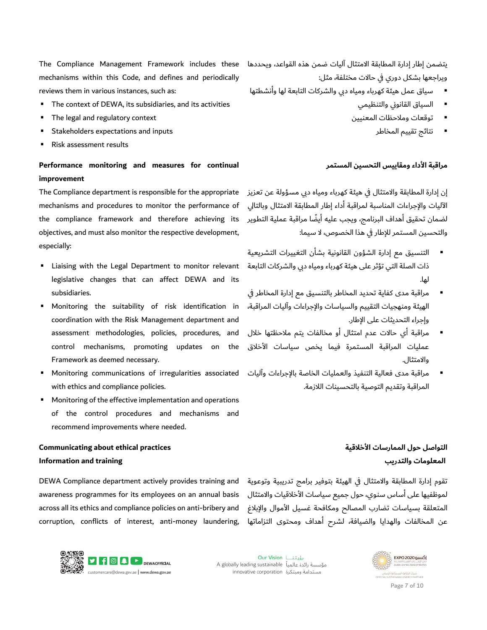يتضمن إطار إدارة المطابقة الامتثال اليات ضمن هذه القواعد٬ ويحددها ويراجعها بشكل دوري في حالات مختلفة٬ مثل:

- reviews them in various instances, such as: قايس لمع ةئيه اءبرهك هايمو يبد اتكرشلاو ةعباتلا اهل اهتطشنأو
	- السياق القانوني والتنظيمي :
	- توقعات وملاحظات المعنيين .
		- تتائج تقييم المخاطر

#### مراقبة الأداء ومقاييس التحسين المستمر

إن إدارة المطابقة والامتثال في هيئة كهرباء ومياه دبي مسؤولة عن تعزيز الآليات والإجراءات المناسبة لمراقبة اداء إطار المطابقة الامتثال وبالتالي لضمان تحقيق اهداف البرنامج، ويجب عليه ايضًا مراقبة عملية التطوير والتحسين المستمر للإطار في هذا الخصوص، لا سيما:

- التنسيق مع إدارة الشؤون القانونية بشان التغييرات التشريعية ذات الصلة التي تؤثر على هيئة كهرباء ومياه دبي والشركات التابعة . اهل
- مراقبة مدى كفاية تحديد المخاطر بالتنسيق مع إدارة المخاطر في الهيئة ومنهجيات التقييم والسياسات والإجراءات واليات المراقبة٬ .
- مراقبة اي حالات عدم امتثال او مخالفات يتم ملاحظتها خلال methodologies, policies, procedures, and عمليات المراقبة المستمرة فيما يخص سياسات الأخلاق .
	- مراقبة مدى فعالية التنفيذ والعمليات الخاصة بالإجراءات وآليات المراقبة وتقديم التوصية بالتحسينات اللازمة.

#### mechanisms within this Code, and defines and periodically reviews them in various instances, such as: The Compliance Management Framework includes these

- The context of DEWA, its subsidiaries, and its activities
- **The legal and regulatory context**
- **Stakeholders expectations and inputs**
- Risk assessment results

#### **Performance monitoring and measures for continual improvement**

 The Compliance department is responsible for the appropriate mechanisms and procedures to monitor the performance of the compliance framework and therefore achieving its objectives, and must also monitor the respective development, especially:

- **E** Liaising with the Legal Department to monitor relevant legislative changes that can affect DEWA and its subsidiaries.
- Monitoring the suitability of risk identification in coordination with the Risk Management department and . وإجراء التحديثات على الإطار. assessment methodologies, policies, procedures, and control mechanisms, promoting updates on the Framework as deemed necessary. . الثتلاماو
- with ethics and compliance policies. . **•** Monitoring communications of irregularities associated
- Monitoring of the effective implementation and operations of the control procedures and mechanisms and recommend improvements where needed.

#### **Communicating about ethical practices Information and training**

DEWA Compliance department actively provides training and awareness programmes for its employees on an annual basis across all its ethics and compliance policies on anti-bribery and corruption, conflicts of interest, anti-money laundering,

### التواصل حول الممارسات الأخلاق*ي*ة **المعلومات والتدرب**

تقوم إدارة المطابقة والامتثال في الهيئة بتوفير برامج تدريبية وتوعوية لموظفيها على اساس سنوي، حول جميع سياسات الأخلاقيات والامتثال المتعلقة بسياسات تضارب المصالح ومكافحة غسيل الأموال والإبلاغ عن المخالفات والهدايا والضيافة٬ لشرح اهداف ومحتوى التزاماتها



Our Vision لَقَاتِينَا A globally leading sustainable أمؤسسة رائدة عالمياً innovative corporation ومبتكرة



Page 7 of 10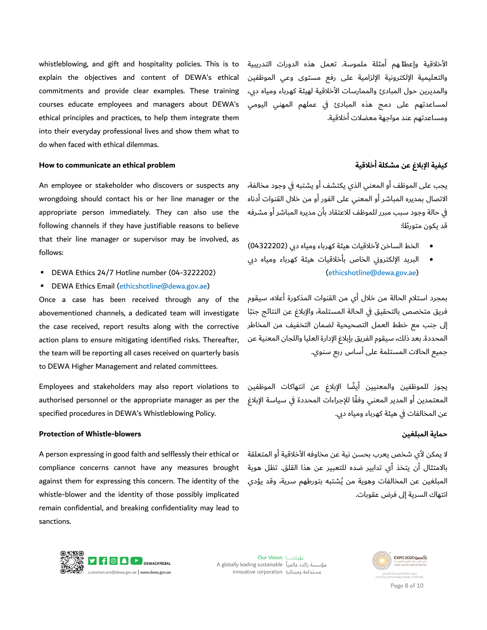explain the objectives and content of DEWA's ethical into their everyday professional lives and show them what to do when faced with ethical dilemmas. whistleblowing, and gift and hospitality policies. This is to commitments and provide clear examples. These training courses educate employees and managers about DEWA's ethical principles and practices, to help them integrate them

#### **How to communicate an ethical problem**

that their line manager or supervisor may be involved, as An employee or stakeholder who discovers or suspects any wrongdoing should contact his or her line manager or the appropriate person immediately. They can also use the following channels if they have justifiable reasons to believe : • الخط الساخن لأخلاقيات هيئة كهرباء ومياه دبي (04322202)<br>• الحام الساخن لأخلاقيات هيئة كهرباء ومياه دبي (04322202)<br>• البريد الإلكتروني الخاص بأخلاقيات هيئة كهرباء ومياه دبي

- 
- **DEWA Ethics Email (ethicshotline@dewa.gov.ae)**

 Once a case has been received through any of the the team will be reporting all cases received on quarterly basis to DEWA Higher Management and related committees. abovementioned channels, a dedicated team will investigate the case received, report results along with the corrective action plans to ensure mitigating identified risks. Thereafter,

 specified procedures in DEWA's Whistleblowing Policy. Employees and stakeholders may also report violations to authorised personnel or the appropriate manager as per the

#### **Protection of Whistle-blowers**

 A person expressing in good faith and selflessly their ethical or against them for expressing this concern. The identity of the remain confidential, and breaking confidentiality may lead to compliance concerns cannot have any measures brought whistle-blower and the identity of those possibly implicated sanctions.

الآخلاقية وإعطائهم امثلة ملموسة. تعمل هذه الدورات التدريبية والتعليمية الإلكترونية الإلزامية على رفع مستوى وعي الموظفين والمديرين حول المبادئ والممارسات الآخلاقية لهيئة كهرباء ومياه دبي، لمساعدتهم على دمج هذه المبادئ في عملهم المهني اليومي ومساعدتهم عند مواجهة معضلات اخلاقية.

#### **يةفيك غلابلإا نع لةكمش يةقلاخأ**

يجب على الموظف او المعني الذي يكتشف او يشتبه في وجود مخالفة٬ الاتصال بمديره المباشر او المعني على الفور او من خلال القنوات ادناه في حالة وجود سبب مبرر للموظف للاعتقاد بان مديره المباشر او مشرفه

- 
- DEWA Ethics 24/7 Hotline number (04-3222202) (ethicshotline@dewa.gov.ae) البريد الإلكتروني الخاص بأخلاقيات هيئة كهرباء ومياه دي

بمجرد استلام الحالة من خلال اي من القنوات المذكورة اعلاه٬ سيقوم فريق متخصص بالتحقيق في الحالة المستلمة٬ والإبلاغ عن النتائج جنبًا إلى جنب مع خطط العمل التصحيحية لضمان التخفيف من المخاطر المحددة. بعد ذلك، سيقوم الفريق بإبلاغ الإدارة العليا واللجان المعنية عن جميع الحالات المستلمة على أساس ربع سنوي. جميع الحالات المستلمة على اساس ربع سنوي.<br>.<br>يجوز للموظفين والمعنيين أيضًا الإبلاغ عن انتهاكات الموظفين قد يكون متورطًا:<br>• الخط الساخن لأخلاقياد<br>• البريد الإلكتروني الخا*ه*<br>بمجرد استلام الحالة من خلال أ:<br>يرق متخصص بالتحقيق في الح<br>إلى جنب مع خطط العمل التص<br>إلى جنب مع خطط العمل التص<br>جميع الحالات المستلمة على أس<br>يجوز اللموظفين

المعتمدين أو المدير المعني وفقًا للإجراءات المحددة في سياسة الإبلاغ عن المخالفات في هيئة كهرباء ومياه دبي.

#### حماية المبلغين

لا يمكن لأي شخص يعرب بحسن نية عن مخاوفه الأخلاقية او المتعلقة بالامتثال ان يتخذ اي تدابير ضده للتعبير عن هذا القلق. تظل هوية المبلغين عن المخالفات وهوية من يُشتبه بتورطهم سرية٬ وقد يؤدي انتهاك السرية إلى فرض عقوبات.



Our Vision رؤيتنــا A globally leading sustainable أمؤسسة رائدة عالمياً innovative corporation ومبتكرة



Page 8 of 10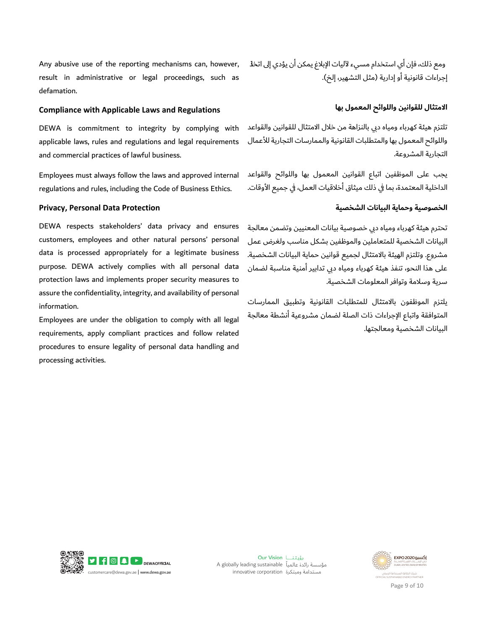Any abusive use of the reporting mechanisms can, however, result in administrative or legal proceedings, such as defamation.

#### **Compliance with Applicable Laws and Regulations**

 DEWA is commitment to integrity by complying with and commercial practices of lawful business. . applicable laws, rules and regulations and legal requirements

 Employees must always follow the laws and approved internal regulations and rules, including the Code of Business Ethics.

#### **Privacy, Personal Data Protection**

 DEWA respects stakeholders' data privacy and ensures customers, employees and other natural persons' personal data is processed appropriately for a legitimate business purpose. DEWA actively complies with all personal data protection laws and implements proper security measures to assure the confidentiality, integrity, and availability of personal information.

 procedures to ensure legality of personal data handling and Employees are under the obligation to comply with all legal requirements, apply compliant practices and follow related processing activities.

إجراءات قانونية او إدارية (مثل التشهير، إلخ). ومع ذلك، فإن أي استخدام مسيء لآليات الإبلاغ يمكن أن يؤدي إلى اتخلآ

#### الامتثال للقوانين واللوائح المعمول بها

تلتزم هيئة كهرباء ومياه دبي بالنزاهة من خلال الامتثال للقوانين والقواعد واللوائح المعمول بها والمتطلبات القانونية والممارسات التجارية للأعمال التجارية المشروعة.

يجب على الموظفين اتباع القوانين المعمول بها واللوائح والقواعد الداخلية المعتمدة٬ بما في ذلك ميثاق اخلاقيات العمل٬ في جميع الأوقات.

#### **يةصوصخلا يةامحو ناتيابلا يةصخلشا**

تحترم هيئة كهرباء ومياه دبي خصوصية بيانات المعنيين وتضمن معالجة البيانات الشخصية للمتعاملين والموظفين بشكل مناسب ولغرض عمل مشروع. وتلتزم الهيئة بالامتثال لجميع قوانين حماية البيانات الشخصية. على هذا النحو، تنفذ هيئة كهرباء ومياه دبي تدابير امنية مناسبة لضمان سرية وسلامة وتوافر المعلومات الشخصية.

يلتزم الموظفون بالامتثال للمتطلبات القانونية وتطبيق الممارسات المتوافقة واتباع الإجراءات ذات الصلة لضمان مشروعية انشطة معالجة البيانات الشخصية ومعالجتها.



Our Vision لَقَاتِينَا A globally leading sustainable أمؤسسة رائدة عالمياً innovative corporation ومبتكرة



Page 9 of 10